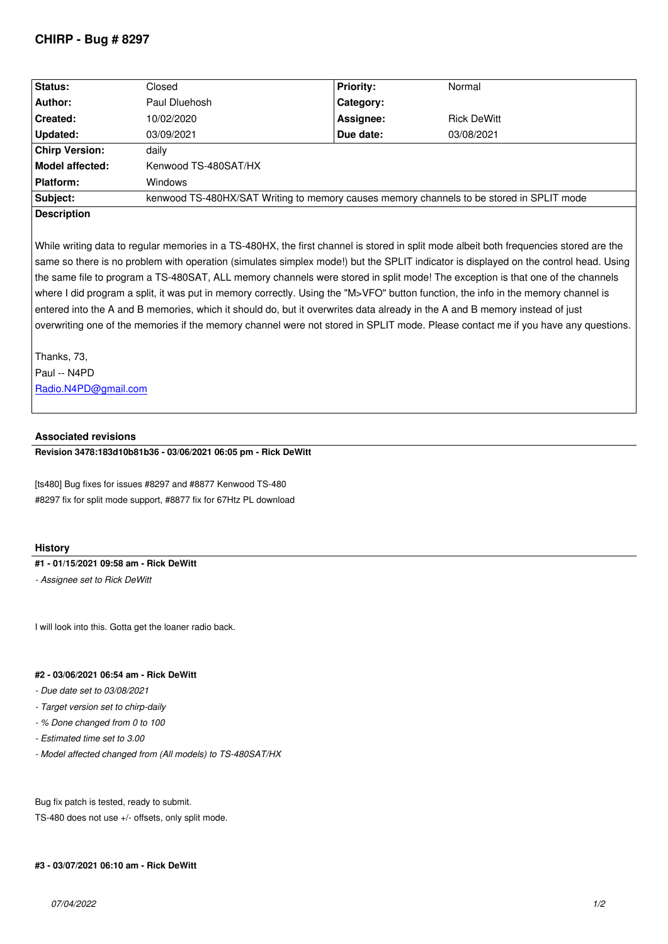| Status:               | Closed                                                                                   | <b>Priority:</b> | Normal             |
|-----------------------|------------------------------------------------------------------------------------------|------------------|--------------------|
| Author:               | Paul Dluehosh                                                                            | Category:        |                    |
| Created:              | 10/02/2020                                                                               | Assignee:        | <b>Rick DeWitt</b> |
| Updated:              | 03/09/2021                                                                               | Due date:        | 03/08/2021         |
| <b>Chirp Version:</b> | daily                                                                                    |                  |                    |
| Model affected:       | Kenwood TS-480SAT/HX                                                                     |                  |                    |
| Platform:             | <b>Windows</b>                                                                           |                  |                    |
| Subject:              | kenwood TS-480HX/SAT Writing to memory causes memory channels to be stored in SPLIT mode |                  |                    |
| <b>Description</b>    |                                                                                          |                  |                    |

*While writing data to regular memories in a TS-480HX, the first channel is stored in split mode albeit both frequencies stored are the same so there is no problem with operation (simulates simplex mode!) but the SPLIT indicator is displayed on the control head. Using the same file to program a TS-480SAT, ALL memory channels were stored in split mode! The exception is that one of the channels where I did program a split, it was put in memory correctly. Using the "M>VFO" button function, the info in the memory channel is entered into the A and B memories, which it should do, but it overwrites data already in the A and B memory instead of just overwriting one of the memories if the memory channel were not stored in SPLIT mode. Please contact me if you have any questions.*

*Thanks, 73, Paul -- N4PD Radio.N4PD@gmail.com*

## **Associated revisions**

**[Revision 3478:183d10b81b](mailto:Radio.N4PD@gmail.com)36 - 03/06/2021 06:05 pm - Rick DeWitt**

*[ts480] Bug fixes for issues #8297 and #8877 Kenwood TS-480 #8297 fix for split mode support, #8877 fix for 67Htz PL download*

## **History**

### **#1 - 01/15/2021 09:58 am - Rick DeWitt**

*- Assignee set to Rick DeWitt*

*I will look into this. Gotta get the loaner radio back.*

#### **#2 - 03/06/2021 06:54 am - Rick DeWitt**

- *Due date set to 03/08/2021*
- *Target version set to chirp-daily*
- *% Done changed from 0 to 100*
- *Estimated time set to 3.00*
- *Model affected changed from (All models) to TS-480SAT/HX*

*Bug fix patch is tested, ready to submit.*

*TS-480 does not use +/- offsets, only split mode.*

#### **#3 - 03/07/2021 06:10 am - Rick DeWitt**